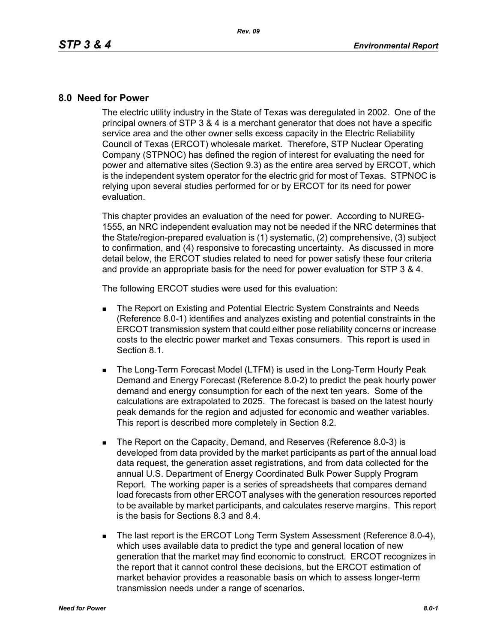## **8.0 Need for Power**

The electric utility industry in the State of Texas was deregulated in 2002. One of the principal owners of STP 3 & 4 is a merchant generator that does not have a specific service area and the other owner sells excess capacity in the Electric Reliability Council of Texas (ERCOT) wholesale market. Therefore, STP Nuclear Operating Company (STPNOC) has defined the region of interest for evaluating the need for power and alternative sites (Section 9.3) as the entire area served by ERCOT, which is the independent system operator for the electric grid for most of Texas. STPNOC is relying upon several studies performed for or by ERCOT for its need for power evaluation.

This chapter provides an evaluation of the need for power. According to NUREG-1555, an NRC independent evaluation may not be needed if the NRC determines that the State/region-prepared evaluation is (1) systematic, (2) comprehensive, (3) subject to confirmation, and (4) responsive to forecasting uncertainty. As discussed in more detail below, the ERCOT studies related to need for power satisfy these four criteria and provide an appropriate basis for the need for power evaluation for STP 3 & 4.

The following ERCOT studies were used for this evaluation:

- **The Report on Existing and Potential Electric System Constraints and Needs** (Reference 8.0-1) identifies and analyzes existing and potential constraints in the ERCOT transmission system that could either pose reliability concerns or increase costs to the electric power market and Texas consumers. This report is used in Section 8.1.
- **The Long-Term Forecast Model (LTFM) is used in the Long-Term Hourly Peak** Demand and Energy Forecast (Reference 8.0-2) to predict the peak hourly power demand and energy consumption for each of the next ten years. Some of the calculations are extrapolated to 2025. The forecast is based on the latest hourly peak demands for the region and adjusted for economic and weather variables. This report is described more completely in Section 8.2.
- The Report on the Capacity, Demand, and Reserves (Reference 8.0-3) is developed from data provided by the market participants as part of the annual load data request, the generation asset registrations, and from data collected for the annual U.S. Department of Energy Coordinated Bulk Power Supply Program Report. The working paper is a series of spreadsheets that compares demand load forecasts from other ERCOT analyses with the generation resources reported to be available by market participants, and calculates reserve margins. This report is the basis for Sections 8.3 and 8.4.
- The last report is the ERCOT Long Term System Assessment (Reference 8.0-4), which uses available data to predict the type and general location of new generation that the market may find economic to construct. ERCOT recognizes in the report that it cannot control these decisions, but the ERCOT estimation of market behavior provides a reasonable basis on which to assess longer-term transmission needs under a range of scenarios.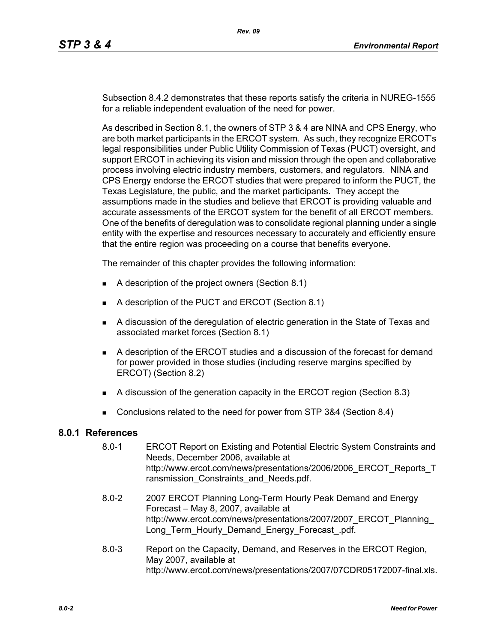Subsection 8.4.2 demonstrates that these reports satisfy the criteria in NUREG-1555 for a reliable independent evaluation of the need for power.

As described in Section 8.1, the owners of STP 3 & 4 are NINA and CPS Energy, who are both market participants in the ERCOT system. As such, they recognize ERCOT's legal responsibilities under Public Utility Commission of Texas (PUCT) oversight, and support ERCOT in achieving its vision and mission through the open and collaborative process involving electric industry members, customers, and regulators. NINA and CPS Energy endorse the ERCOT studies that were prepared to inform the PUCT, the Texas Legislature, the public, and the market participants. They accept the assumptions made in the studies and believe that ERCOT is providing valuable and accurate assessments of the ERCOT system for the benefit of all ERCOT members. One of the benefits of deregulation was to consolidate regional planning under a single entity with the expertise and resources necessary to accurately and efficiently ensure that the entire region was proceeding on a course that benefits everyone.

The remainder of this chapter provides the following information:

- A description of the project owners (Section 8.1)
- A description of the PUCT and ERCOT (Section 8.1)
- A discussion of the deregulation of electric generation in the State of Texas and associated market forces (Section 8.1)
- A description of the ERCOT studies and a discussion of the forecast for demand for power provided in those studies (including reserve margins specified by ERCOT) (Section 8.2)
- A discussion of the generation capacity in the ERCOT region (Section 8.3)
- Conclusions related to the need for power from STP 3&4 (Section 8.4)

## **8.0.1 References**

- 8.0-1 ERCOT Report on Existing and Potential Electric System Constraints and Needs, December 2006, available at http://www.ercot.com/news/presentations/2006/2006\_ERCOT\_Reports\_T ransmission Constraints and Needs.pdf.
- [8.0-2 2007 ERCOT Planning Long-Term Hourly Peak Demand and Energy](http://www.ercot.com/news/presentations/2007/2007_ERCOT_Planning_Long_Term_Hourly_Demand_Energy_Forecast_.pdf)  Forecast – May 8, 2007, available at http://www.ercot.com/news/presentations/2007/2007\_ERCOT\_Planning\_ Long\_Term\_Hourly\_Demand\_Energy\_Forecast\_.pdf.
- 8.0-3 Report on the Capacity, Demand, and Reserves in the ERCOT Region, May 2007, available at http://www.ercot.com/news/presentations/2007/07CDR05172007-final.xls.